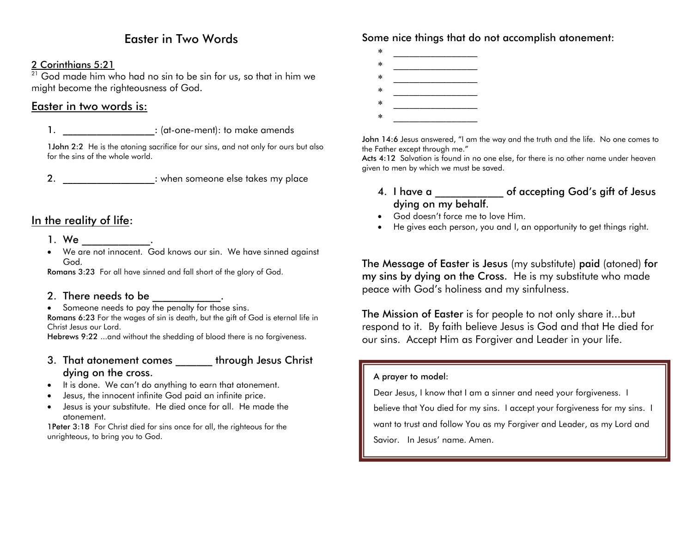## **Easter in Two Words**

### **2 Corinthians 5:21**

 $21$  God made him who had no sin to be sin for us, so that in him we might become the righteousness of God.

## **Easter in two words is:**

**1. \_\_\_\_\_\_\_\_\_\_\_\_\_\_\_\_\_\_\_:** (at-one-ment): to make amends

**1John 2:2** He is the atoning sacrifice for our sins, and not only for ours but also for the sins of the whole world.

**2. \_\_\_\_\_\_\_\_\_\_\_\_\_\_\_\_\_\_\_:** when someone else takes my place

## **In the reality of life:**

- **1. We \_\_\_\_\_\_\_\_\_\_\_\_\_.**
- We are not innocent. God knows our sin. We have sinned against God.

**Romans 3:23** For all have sinned and fall short of the glory of God.

#### **2. There needs to be \_\_\_\_\_\_\_\_\_\_\_\_\_.**

Someone needs to pay the penalty for those sins.

**Romans 6:23** For the wages of sin is death, but the gift of God is eternal life in Christ Jesus our Lord.

**Hebrews 9:22** ...and without the shedding of blood there is no forgiveness.

## **3. That atonement comes \_\_\_\_\_\_\_ through Jesus Christ dying on the cross.**

- It is done. We can't do anything to earn that atonement.
- Jesus, the innocent infinite God paid an infinite price.
- Jesus is your substitute. He died once for all. He made the atonement.

**1Peter 3:18** For Christ died for sins once for all, the righteous for the unrighteous, to bring you to God.

**Some nice things that do not accomplish atonement:**

 $*$   $\blacksquare$  $*$   $\blacksquare$  $*$   $\blacksquare$  $*$   $\blacksquare$  $*$   $\blacksquare$  $*$   $\blacksquare$ 

**John 14:6** Jesus answered, "I am the way and the truth and the life. No one comes to the Father except through me."

**Acts 4:12** Salvation is found in no one else, for there is no other name under heaven given to men by which we must be saved.

- **4. I have a \_\_\_\_\_\_\_\_\_\_\_\_\_ of accepting God's gift of Jesus dying on my behalf.**
- God doesn't force me to love Him.
- He gives each person, you and I, an opportunity to get things right.

**The Message of Easter is Jesus** (my substitute) **paid** (atoned) **for my sins by dying on the Cross.** He is my substitute who made peace with God's holiness and my sinfulness.

**The Mission of Easter** is for people to not only share it...but respond to it. By faith believe Jesus is God and that He died for our sins. Accept Him as Forgiver and Leader in your life.

#### **A prayer to model:**

Dear Jesus, I know that I am a sinner and need your forgiveness. I

believe that You died for my sins. I accept your forgiveness for my sins. I want to trust and follow You as my Forgiver and Leader, as my Lord and Savior. In Jesus' name. Amen.